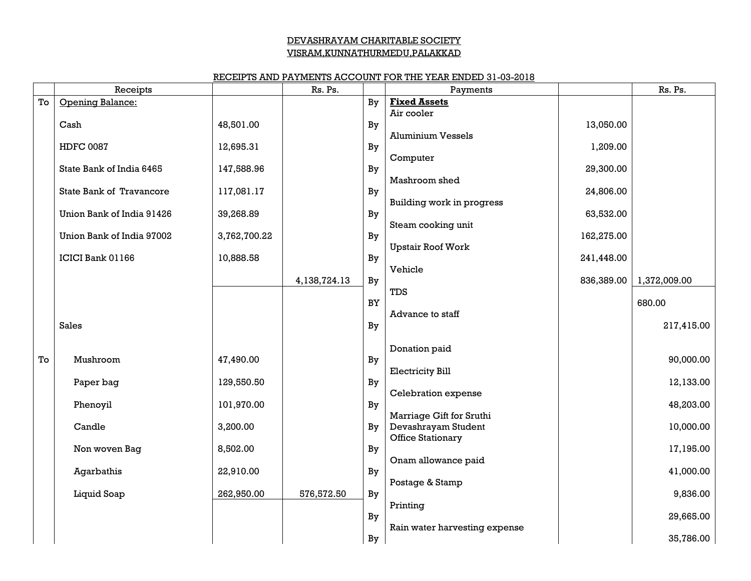# DEVASHRAYAM CHARITABLE SOCIETY VISRAM,KUNNATHURMEDU,PALAKKAD

## RECEIPTS AND PAYMENTS ACCOUNT FOR THE YEAR ENDED 31-03-2018

|    | Receipts                  |              | Rs. Ps.      |           | Payments                      |            | Rs. Ps.      |
|----|---------------------------|--------------|--------------|-----------|-------------------------------|------------|--------------|
| To | Opening Balance:          |              |              | By        | <b>Fixed Assets</b>           |            |              |
|    | Cash                      | 48,501.00    |              |           | Air cooler                    | 13,050.00  |              |
|    |                           |              |              | By        | <b>Aluminium Vessels</b>      |            |              |
|    | <b>HDFC 0087</b>          | 12,695.31    |              | By        |                               | 1,209.00   |              |
|    |                           |              |              |           | Computer                      |            |              |
|    | State Bank of India 6465  | 147,588.96   |              | By        | Mashroom shed                 | 29,300.00  |              |
|    | State Bank of Travancore  | 117,081.17   |              | By        |                               | 24,806.00  |              |
|    |                           |              |              |           | Building work in progress     |            |              |
|    | Union Bank of India 91426 | 39,268.89    |              | By        |                               | 63,532.00  |              |
|    | Union Bank of India 97002 | 3,762,700.22 |              | By        | Steam cooking unit            | 162,275.00 |              |
|    |                           |              |              |           | <b>Upstair Roof Work</b>      |            |              |
|    | ICICI Bank 01166          | 10,888.58    |              | By        |                               | 241,448.00 |              |
|    |                           |              |              |           | Vehicle                       |            |              |
|    |                           |              | 4,138,724.13 | By        | TDS                           | 836,389.00 | 1,372,009.00 |
|    |                           |              |              | <b>BY</b> |                               |            | 680.00       |
|    |                           |              |              |           | Advance to staff              |            |              |
|    | <b>Sales</b>              |              |              | By        |                               |            | 217,415.00   |
|    |                           |              |              |           |                               |            |              |
| To | Mushroom                  | 47,490.00    |              | By        | Donation paid                 |            | 90,000.00    |
|    |                           |              |              |           | <b>Electricity Bill</b>       |            |              |
|    | Paper bag                 | 129,550.50   |              | By        |                               |            | 12,133.00    |
|    |                           |              |              |           | Celebration expense           |            |              |
|    | Phenoyil                  | 101,970.00   |              | By        | Marriage Gift for Sruthi      |            | 48,203.00    |
|    | Candle                    | 3,200.00     |              | By        | Devashrayam Student           |            | 10,000.00    |
|    |                           |              |              |           | Office Stationary             |            |              |
|    | Non woven Bag             | 8,502.00     |              | By        |                               |            | 17,195.00    |
|    | Agarbathis                | 22,910.00    |              | By        | Onam allowance paid           |            | 41,000.00    |
|    |                           |              |              |           | Postage & Stamp               |            |              |
|    | Liquid Soap               | 262,950.00   | 576,572.50   | By        |                               |            | 9,836.00     |
|    |                           |              |              |           | Printing                      |            |              |
|    |                           |              |              | By        | Rain water harvesting expense |            | 29,665.00    |
|    |                           |              |              | By        |                               |            | 35,786.00    |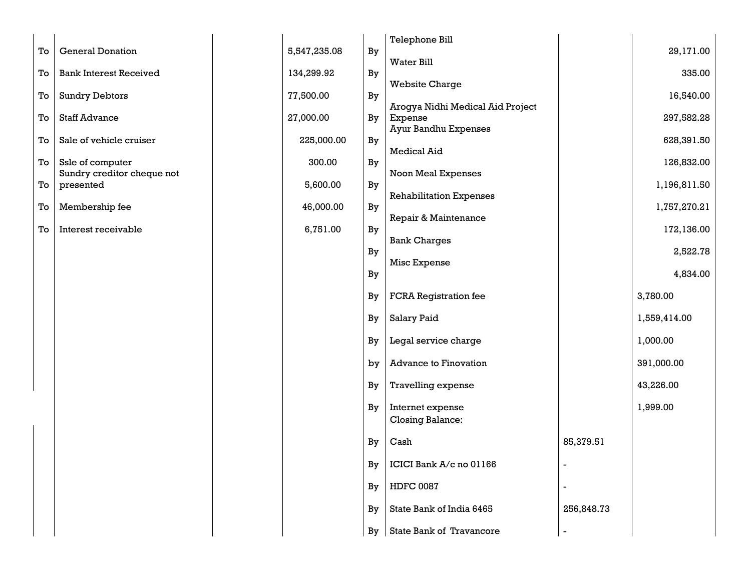|    |                               |              |    | Telephone Bill                              |                          |              |
|----|-------------------------------|--------------|----|---------------------------------------------|--------------------------|--------------|
| To | <b>General Donation</b>       | 5,547,235.08 | By |                                             |                          | 29,171.00    |
| To | <b>Bank Interest Received</b> | 134,299.92   | By | Water Bill                                  |                          | 335.00       |
|    |                               |              |    | <b>Website Charge</b>                       |                          |              |
| To | <b>Sundry Debtors</b>         | 77,500.00    | By |                                             |                          | 16,540.00    |
| To | <b>Staff Advance</b>          | 27,000.00    | By | Arogya Nidhi Medical Aid Project<br>Expense |                          | 297,582.28   |
|    |                               |              |    | <b>Ayur Bandhu Expenses</b>                 |                          |              |
| To | Sale of vehicle cruiser       | 225,000.00   | By | <b>Medical Aid</b>                          |                          | 628,391.50   |
| To | Ssle of computer              | 300.00       | By |                                             |                          | 126,832.00   |
|    | Sundry creditor cheque not    |              |    | Noon Meal Expenses                          |                          |              |
| To | presented                     | 5,600.00     | By | <b>Rehabilitation Expenses</b>              |                          | 1,196,811.50 |
| To | Membership fee                | 46,000.00    | By |                                             |                          | 1,757,270.21 |
|    |                               |              |    | Repair & Maintenance                        |                          |              |
| To | Interest receivable           | 6,751.00     | By | <b>Bank Charges</b>                         |                          | 172,136.00   |
|    |                               |              | By |                                             |                          | 2,522.78     |
|    |                               |              |    | Misc Expense                                |                          |              |
|    |                               |              | By |                                             |                          | 4,834.00     |
|    |                               |              | By | <b>FCRA</b> Registration fee                |                          | 3,780.00     |
|    |                               |              | By | <b>Salary Paid</b>                          |                          | 1,559,414.00 |
|    |                               |              | By | Legal service charge                        |                          | 1,000.00     |
|    |                               |              | by | <b>Advance to Finovation</b>                |                          | 391,000.00   |
|    |                               |              | By | Travelling expense                          |                          | 43,226.00    |
|    |                               |              | By | Internet expense<br><b>Closing Balance:</b> |                          | 1,999.00     |
|    |                               |              | By | Cash                                        | 85,379.51                |              |
|    |                               |              | By | ICICI Bank A/c no 01166                     |                          |              |
|    |                               |              | By | <b>HDFC 0087</b>                            |                          |              |
|    |                               |              | By | State Bank of India 6465                    | 256,848.73               |              |
|    |                               |              | By | State Bank of Travancore                    | $\overline{\phantom{a}}$ |              |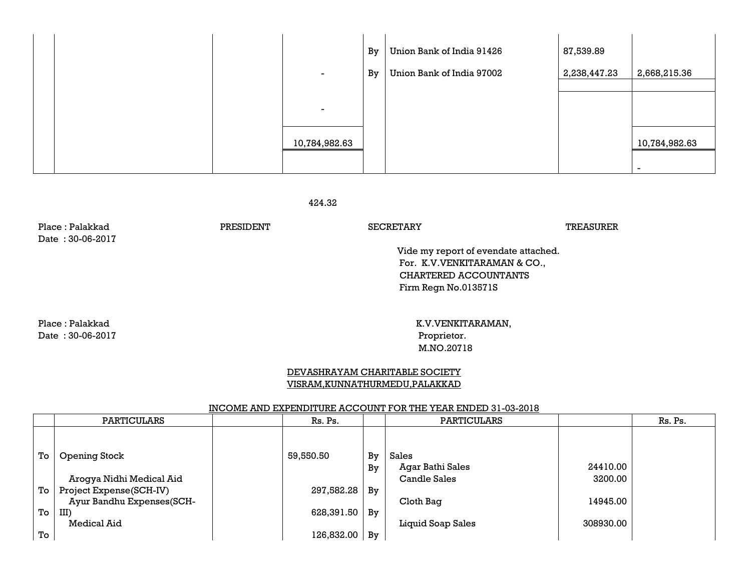|  | -<br>$\overline{\phantom{0}}$ | By<br>By | Union Bank of India 91426<br>Union Bank of India 97002 | 87,539.89<br>2,238,447.23 | 2,668,215.36                              |
|--|-------------------------------|----------|--------------------------------------------------------|---------------------------|-------------------------------------------|
|  | 10,784,982.63                 |          |                                                        |                           | 10,784,982.63<br>$\overline{\phantom{0}}$ |

424.32

| Place : Palakkad<br>Date: 30-06-2017 | PRESIDENT | <b>SECRETARY</b>                     | TREASURER |  |  |
|--------------------------------------|-----------|--------------------------------------|-----------|--|--|
|                                      |           | Vide my report of evendate attached. |           |  |  |
|                                      |           | For. K.V.VENKITARAMAN & CO.,         |           |  |  |
|                                      |           | CHARTERED ACCOUNTANTS                |           |  |  |
|                                      |           | Firm Regn No.013571S                 |           |  |  |
|                                      |           |                                      |           |  |  |
| Place : Palakkad                     |           | K.V.VENKITARAMAN,                    |           |  |  |
| Date: 30-06-2017                     |           | Proprietor.                          |           |  |  |
|                                      |           | M.NO.20718                           |           |  |  |
|                                      |           |                                      |           |  |  |

# DEVASHRAYAM CHARITABLE SOCIETY VISRAM,KUNNATHURMEDU,PALAKKAD

#### INCOME AND EXPENDITURE ACCOUNT FOR THE YEAR ENDED 31-03-2018

|    | <b>PARTICULARS</b>        | Rs. Ps.    |    | <b>PARTICULARS</b>  |           | Rs. Ps. |
|----|---------------------------|------------|----|---------------------|-----------|---------|
| To | Opening Stock             | 59,550.50  | By | Sales               |           |         |
|    |                           |            | By | Agar Bathi Sales    | 24410.00  |         |
|    | Arogya Nidhi Medical Aid  |            |    | <b>Candle Sales</b> | 3200.00   |         |
| To | Project Expense(SCH-IV)   | 297,582.28 | By |                     |           |         |
|    | Ayur Bandhu Expenses(SCH- |            |    | Cloth Bag           | 14945.00  |         |
| To | III)                      | 628,391.50 | By |                     |           |         |
|    | Medical Aid               |            |    | Liquid Soap Sales   | 308930.00 |         |
| To |                           | 126,832.00 | By |                     |           |         |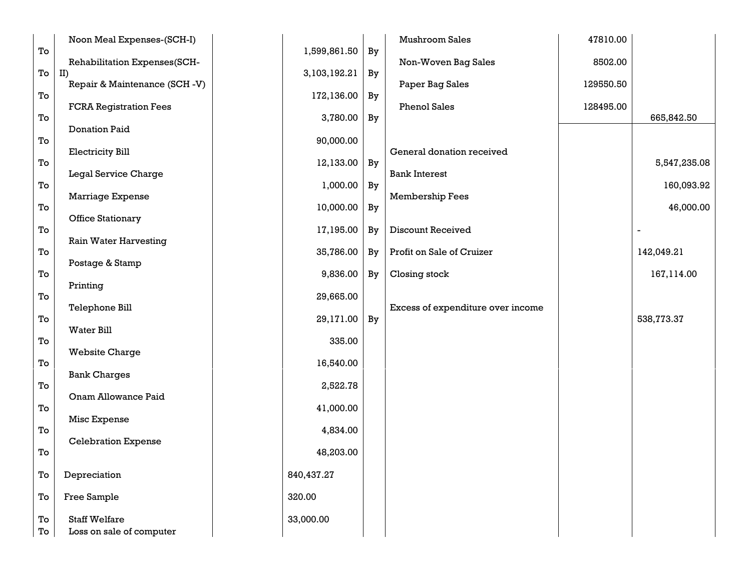|          | Noon Meal Expenses-(SCH-I)                       |              |    | Mushroom Sales                    | 47810.00  |              |
|----------|--------------------------------------------------|--------------|----|-----------------------------------|-----------|--------------|
| To       | Rehabilitation Expenses(SCH-                     | 1,599,861.50 | By | Non-Woven Bag Sales               | 8502.00   |              |
| To       | II)<br>Repair & Maintenance (SCH-V)              | 3,103,192.21 | By | Paper Bag Sales                   | 129550.50 |              |
| To       |                                                  | 172,136.00   | By |                                   |           |              |
| To       | <b>FCRA Registration Fees</b>                    | 3,780.00     | By | <b>Phenol Sales</b>               | 128495.00 | 665,842.50   |
|          | <b>Donation Paid</b>                             |              |    |                                   |           |              |
| To       | <b>Electricity Bill</b>                          | 90,000.00    |    | General donation received         |           |              |
| To       | Legal Service Charge                             | 12,133.00    | By | <b>Bank Interest</b>              |           | 5,547,235.08 |
| To       |                                                  | 1,000.00     | By |                                   |           | 160,093.92   |
| To       | Marriage Expense                                 | 10,000.00    | By | Membership Fees                   |           | 46,000.00    |
| To       | <b>Office Stationary</b>                         | 17,195.00    | By | <b>Discount Received</b>          |           |              |
|          | <b>Rain Water Harvesting</b>                     |              |    |                                   |           |              |
| To       | Postage & Stamp                                  | 35,786.00    | By | Profit on Sale of Cruizer         |           | 142,049.21   |
| To       |                                                  | 9,836.00     | By | Closing stock                     |           | 167,114.00   |
| To       | Printing                                         | 29,665.00    |    |                                   |           |              |
| To       | Telephone Bill                                   | 29,171.00    | By | Excess of expenditure over income |           | 538,773.37   |
|          | <b>Water Bill</b>                                |              |    |                                   |           |              |
| To       | <b>Website Charge</b>                            | 335.00       |    |                                   |           |              |
| To       | <b>Bank Charges</b>                              | 16,540.00    |    |                                   |           |              |
| To       |                                                  | 2,522.78     |    |                                   |           |              |
| To       | Onam Allowance Paid                              | 41,000.00    |    |                                   |           |              |
|          | Misc Expense                                     |              |    |                                   |           |              |
| To       | <b>Celebration Expense</b>                       | 4,834.00     |    |                                   |           |              |
| To       |                                                  | 48,203.00    |    |                                   |           |              |
| To       | Depreciation                                     | 840,437.27   |    |                                   |           |              |
| To       | Free Sample                                      | 320.00       |    |                                   |           |              |
| To<br>To | <b>Staff Welfare</b><br>Loss on sale of computer | 33,000.00    |    |                                   |           |              |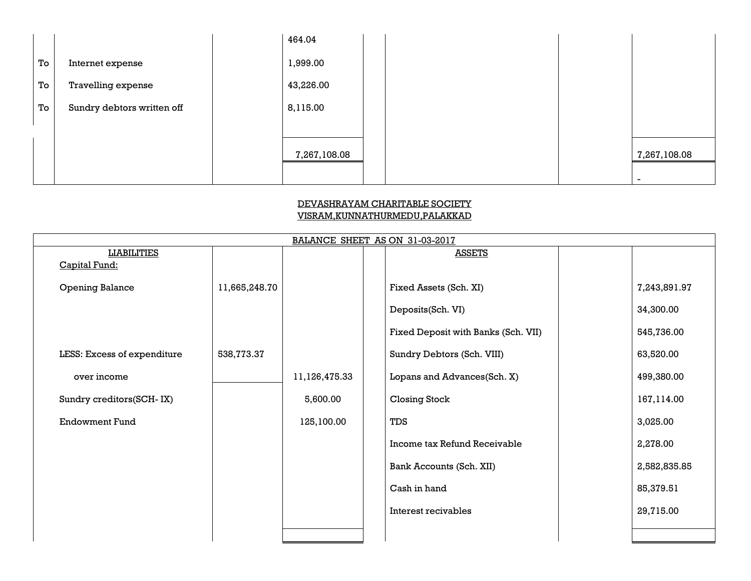|    |                            | 464.04       |  |                          |
|----|----------------------------|--------------|--|--------------------------|
| To | Internet expense           | 1,999.00     |  |                          |
| To | Travelling expense         | 43,226.00    |  |                          |
| To | Sundry debtors written off | 8,115.00     |  |                          |
|    |                            |              |  |                          |
|    |                            | 7,267,108.08 |  | 7,267,108.08             |
|    |                            |              |  | $\overline{\phantom{0}}$ |

# DEVASHRAYAM CHARITABLE SOCIETY VISRAM,KUNNATHURMEDU,PALAKKAD

| BALANCE SHEET AS ON 31-03-2017 |               |               |  |                                     |  |              |
|--------------------------------|---------------|---------------|--|-------------------------------------|--|--------------|
| <b>LIABILITIES</b>             |               |               |  | <b>ASSETS</b>                       |  |              |
| Capital Fund:                  |               |               |  |                                     |  |              |
| <b>Opening Balance</b>         | 11,665,248.70 |               |  | Fixed Assets (Sch. XI)              |  | 7,243,891.97 |
|                                |               |               |  | Deposits(Sch. VI)                   |  | 34,300.00    |
|                                |               |               |  | Fixed Deposit with Banks (Sch. VII) |  | 545,736.00   |
| LESS: Excess of expenditure    | 538,773.37    |               |  | Sundry Debtors (Sch. VIII)          |  | 63,520.00    |
| over income                    |               | 11,126,475.33 |  | Lopans and Advances(Sch. X)         |  | 499,380.00   |
| Sundry creditors(SCH-IX)       |               | 5,600.00      |  | <b>Closing Stock</b>                |  | 167,114.00   |
| <b>Endowment Fund</b>          |               | 125,100.00    |  | TDS                                 |  | 3,025.00     |
|                                |               |               |  | Income tax Refund Receivable        |  | 2,278.00     |
|                                |               |               |  | Bank Accounts (Sch. XII)            |  | 2,582,835.85 |
|                                |               |               |  | Cash in hand                        |  | 85,379.51    |
|                                |               |               |  | Interest recivables                 |  | 29,715.00    |
|                                |               |               |  |                                     |  |              |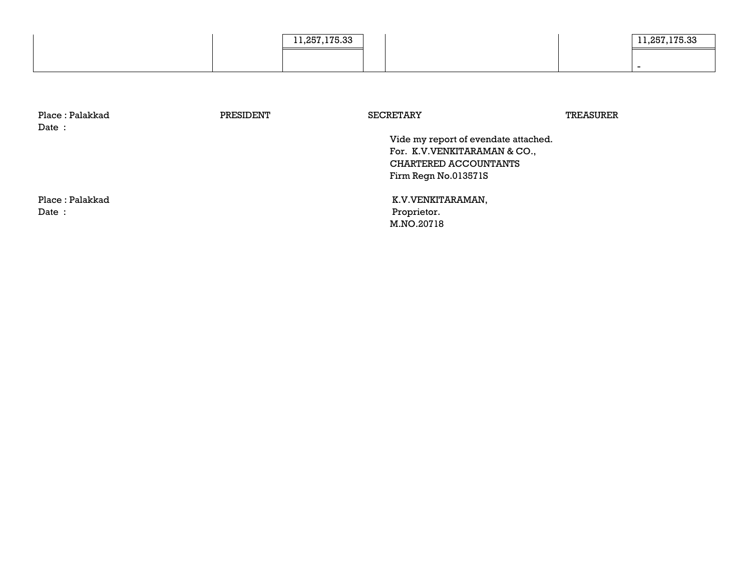|  | .257.175.33<br>. |  | 957 175 99<br>. |
|--|------------------|--|-----------------|
|  |                  |  |                 |

| Place : Palakkad<br>Date: | PRESIDENT | <b>SECRETARY</b>                     | TREASURER |
|---------------------------|-----------|--------------------------------------|-----------|
|                           |           | Vide my report of evendate attached. |           |
|                           |           | For. K.V. VENKITARAMAN & CO.,        |           |
|                           |           | CHARTERED ACCOUNTANTS                |           |
|                           |           | Firm Regn No.013571S                 |           |
| Place : Palakkad          |           | K.V.VENKITARAMAN,                    |           |
| Date:                     |           | Proprietor.                          |           |
|                           |           | M.NO.20718                           |           |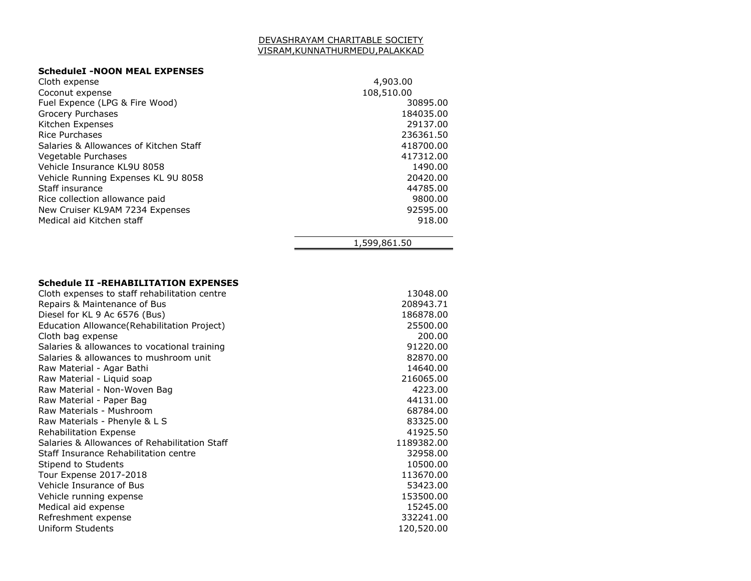#### DEVASHRAYAM CHARITABLE SOCIETY VISRAM,KUNNATHURMEDU,PALAKKAD

#### **ScheduleI -NOON MEAL EXPENSES**

| Cloth expense                          | 4,903.00     |
|----------------------------------------|--------------|
| Coconut expense                        | 108,510.00   |
| Fuel Expence (LPG & Fire Wood)         | 30895.00     |
| Grocery Purchases                      | 184035.00    |
| Kitchen Expenses                       | 29137.00     |
| Rice Purchases                         | 236361.50    |
| Salaries & Allowances of Kitchen Staff | 418700.00    |
| Vegetable Purchases                    | 417312.00    |
| Vehicle Insurance KL9U 8058            | 1490.00      |
| Vehicle Running Expenses KL 9U 8058    | 20420.00     |
| Staff insurance                        | 44785.00     |
| Rice collection allowance paid         | 9800.00      |
| New Cruiser KL9AM 7234 Expenses        | 92595.00     |
| Medical aid Kitchen staff              | 918.00       |
|                                        | 1,599,861.50 |

### **Schedule II -REHABILITATION EXPENSES**

| Cloth expenses to staff rehabilitation centre | 13048.00   |
|-----------------------------------------------|------------|
| Repairs & Maintenance of Bus                  | 208943.71  |
| Diesel for KL 9 Ac 6576 (Bus)                 | 186878.00  |
| Education Allowance (Rehabilitation Project)  | 25500.00   |
| Cloth bag expense                             | 200.00     |
| Salaries & allowances to vocational training  | 91220.00   |
| Salaries & allowances to mushroom unit        | 82870.00   |
| Raw Material - Agar Bathi                     | 14640.00   |
| Raw Material - Liguid soap                    | 216065.00  |
| Raw Material - Non-Woven Bag                  | 4223.00    |
| Raw Material - Paper Bag                      | 44131.00   |
| Raw Materials - Mushroom                      | 68784.00   |
| Raw Materials - Phenyle & L S                 | 83325.00   |
| <b>Rehabilitation Expense</b>                 | 41925.50   |
| Salaries & Allowances of Rehabilitation Staff | 1189382.00 |
| Staff Insurance Rehabilitation centre         | 32958.00   |
| Stipend to Students                           | 10500.00   |
| Tour Expense 2017-2018                        | 113670.00  |
| Vehicle Insurance of Bus                      | 53423.00   |
| Vehicle running expense                       | 153500.00  |
| Medical aid expense                           | 15245.00   |
| Refreshment expense                           | 332241.00  |
| Uniform Students                              | 120,520.00 |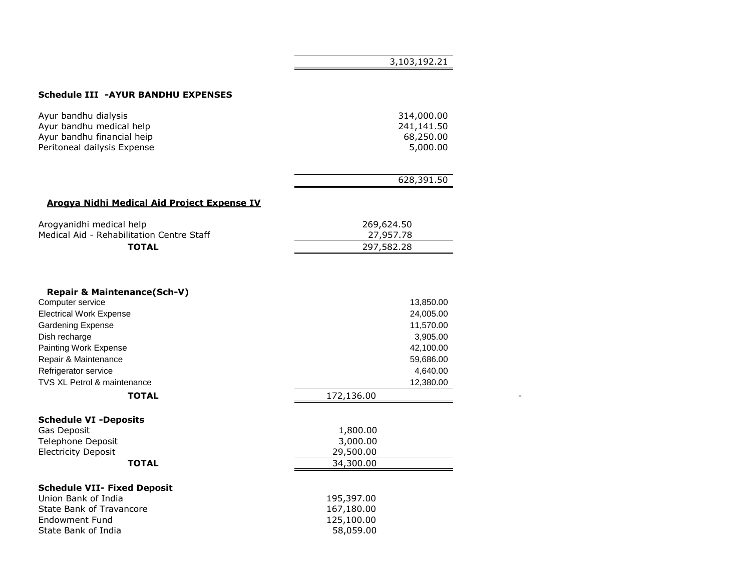#### **Schedule III -AYUR BANDHU EXPENSES**

| Ayur bandhu dialysis        | 314,000.00 |
|-----------------------------|------------|
| Ayur bandhu medical help    | 241,141.50 |
| Ayur bandhu financial heip  | 68,250.00  |
| Peritoneal dailysis Expense | 5,000.00   |
|                             | 628,391.50 |

 $\overline{\phantom{0}}$ 

#### **Arogya Nidhi Medical Aid Project Expense IV**

| Arogyanidhi medical help                  | 269,624.50 |  |
|-------------------------------------------|------------|--|
| Medical Aid - Rehabilitation Centre Staff | 27,957,78  |  |
| <b>TOTAL</b>                              | 297,582,28 |  |

| <b>Repair &amp; Maintenance(Sch-V)</b> |            |
|----------------------------------------|------------|
| Computer service                       | 13,850.00  |
| <b>Electrical Work Expense</b>         | 24,005.00  |
| Gardening Expense                      | 11,570.00  |
| Dish recharge                          | 3,905.00   |
| Painting Work Expense                  | 42,100.00  |
| Repair & Maintenance                   | 59,686.00  |
| Refrigerator service                   | 4,640.00   |
| <b>TVS XL Petrol &amp; maintenance</b> | 12,380.00  |
| <b>TOTAL</b>                           | 172,136.00 |
| <b>Schedule VI -Deposits</b>           |            |
| Gas Deposit                            | 1,800.00   |
| Telephone Deposit                      | 3,000.00   |
| <b>Electricity Deposit</b>             | 29,500.00  |
| <b>TOTAL</b>                           | 34,300.00  |
| <b>Schedule VII- Fixed Deposit</b>     |            |
| Union Bank of India                    | 195,397.00 |
| State Bank of Travancore               | 167,180.00 |
| Endowment Fund                         | 125,100.00 |
| State Bank of India                    | 58,059.00  |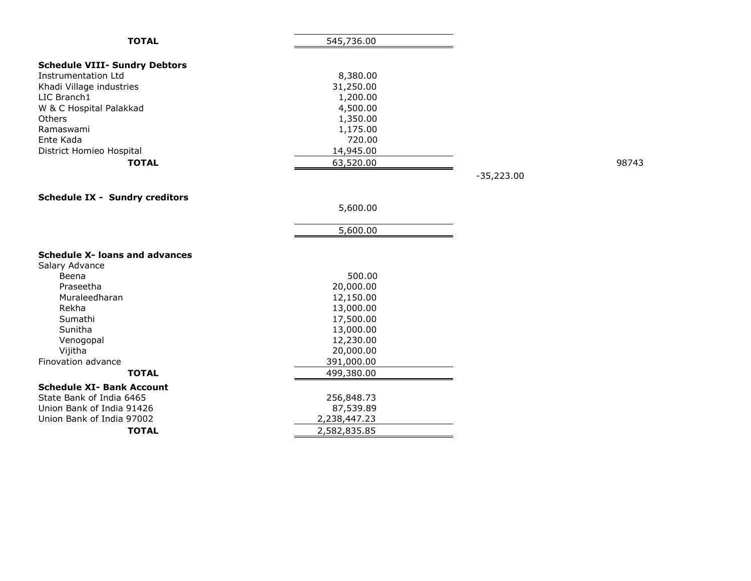| <b>TOTAL</b>                          | 545,736.00   |              |       |
|---------------------------------------|--------------|--------------|-------|
| <b>Schedule VIII- Sundry Debtors</b>  |              |              |       |
| <b>Instrumentation Ltd</b>            | 8,380.00     |              |       |
| Khadi Village industries              | 31,250.00    |              |       |
| LIC Branch1                           | 1,200.00     |              |       |
| W & C Hospital Palakkad               | 4,500.00     |              |       |
| Others                                | 1,350.00     |              |       |
| Ramaswami                             | 1,175.00     |              |       |
| Ente Kada                             | 720.00       |              |       |
| District Homieo Hospital              | 14,945.00    |              |       |
| <b>TOTAL</b>                          | 63,520.00    |              | 98743 |
|                                       |              | $-35,223.00$ |       |
|                                       |              |              |       |
| <b>Schedule IX - Sundry creditors</b> |              |              |       |
|                                       | 5,600.00     |              |       |
|                                       |              |              |       |
|                                       | 5,600.00     |              |       |
|                                       |              |              |       |
| <b>Schedule X- loans and advances</b> |              |              |       |
| Salary Advance                        |              |              |       |
| Beena                                 | 500.00       |              |       |
| Praseetha                             | 20,000.00    |              |       |
| Muraleedharan                         | 12,150.00    |              |       |
| Rekha                                 | 13,000.00    |              |       |
| Sumathi                               | 17,500.00    |              |       |
| Sunitha                               | 13,000.00    |              |       |
| Venogopal                             | 12,230.00    |              |       |
| Vijitha                               | 20,000.00    |              |       |
| Finovation advance                    | 391,000.00   |              |       |
| <b>TOTAL</b>                          | 499,380.00   |              |       |
| <b>Schedule XI- Bank Account</b>      |              |              |       |
| State Bank of India 6465              | 256,848.73   |              |       |
| Union Bank of India 91426             | 87,539.89    |              |       |
| Union Bank of India 97002             | 2,238,447.23 |              |       |
| <b>TOTAL</b>                          | 2,582,835.85 |              |       |
|                                       |              |              |       |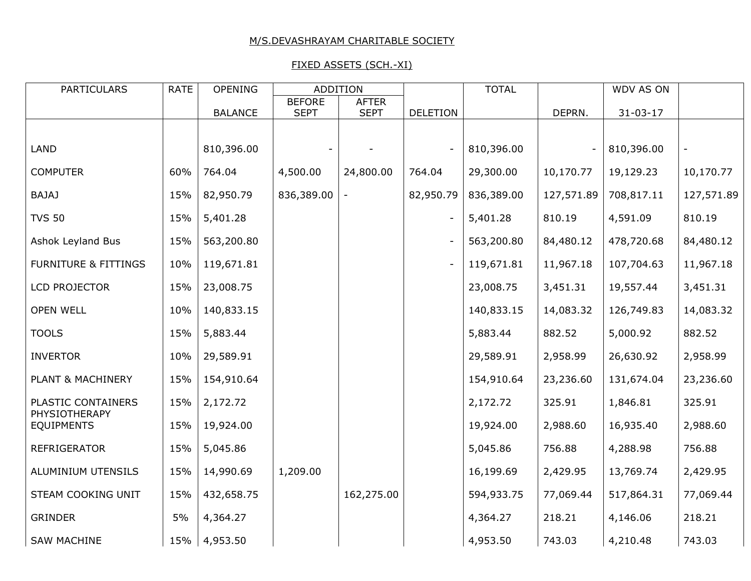# M/S.DEVASHRAYAM CHARITABLE SOCIETY

# FIXED ASSETS (SCH.-XI)

| PARTICULARS                         | <b>RATE</b> | <b>OPENING</b> | <b>ADDITION</b>              |                             |                          | <b>TOTAL</b> |            | WDV AS ON      |            |
|-------------------------------------|-------------|----------------|------------------------------|-----------------------------|--------------------------|--------------|------------|----------------|------------|
|                                     |             | <b>BALANCE</b> | <b>BEFORE</b><br><b>SEPT</b> | <b>AFTER</b><br><b>SEPT</b> | <b>DELETION</b>          |              | DEPRN.     | $31 - 03 - 17$ |            |
|                                     |             |                |                              |                             |                          |              |            |                |            |
| <b>LAND</b>                         |             | 810,396.00     |                              |                             | $\overline{a}$           | 810,396.00   |            | 810,396.00     |            |
| <b>COMPUTER</b>                     | 60%         | 764.04         | 4,500.00                     | 24,800.00                   | 764.04                   | 29,300.00    | 10,170.77  | 19,129.23      | 10,170.77  |
| <b>BAJAJ</b>                        | 15%         | 82,950.79      | 836,389.00                   |                             | 82,950.79                | 836,389.00   | 127,571.89 | 708,817.11     | 127,571.89 |
| <b>TVS 50</b>                       | 15%         | 5,401.28       |                              |                             | $\qquad \qquad -$        | 5,401.28     | 810.19     | 4,591.09       | 810.19     |
| Ashok Leyland Bus                   | 15%         | 563,200.80     |                              |                             | $\overline{\phantom{a}}$ | 563,200.80   | 84,480.12  | 478,720.68     | 84,480.12  |
| <b>FURNITURE &amp; FITTINGS</b>     | 10%         | 119,671.81     |                              |                             | $\overline{\phantom{a}}$ | 119,671.81   | 11,967.18  | 107,704.63     | 11,967.18  |
| LCD PROJECTOR                       | 15%         | 23,008.75      |                              |                             |                          | 23,008.75    | 3,451.31   | 19,557.44      | 3,451.31   |
| <b>OPEN WELL</b>                    | 10%         | 140,833.15     |                              |                             |                          | 140,833.15   | 14,083.32  | 126,749.83     | 14,083.32  |
| <b>TOOLS</b>                        | 15%         | 5,883.44       |                              |                             |                          | 5,883.44     | 882.52     | 5,000.92       | 882.52     |
| <b>INVERTOR</b>                     | 10%         | 29,589.91      |                              |                             |                          | 29,589.91    | 2,958.99   | 26,630.92      | 2,958.99   |
| PLANT & MACHINERY                   | 15%         | 154,910.64     |                              |                             |                          | 154,910.64   | 23,236.60  | 131,674.04     | 23,236.60  |
| PLASTIC CONTAINERS<br>PHYSIOTHERAPY | 15%         | 2,172.72       |                              |                             |                          | 2,172.72     | 325.91     | 1,846.81       | 325.91     |
| <b>EQUIPMENTS</b>                   | 15%         | 19,924.00      |                              |                             |                          | 19,924.00    | 2,988.60   | 16,935.40      | 2,988.60   |
| REFRIGERATOR                        | 15%         | 5,045.86       |                              |                             |                          | 5,045.86     | 756.88     | 4,288.98       | 756.88     |
| ALUMINIUM UTENSILS                  | 15%         | 14,990.69      | 1,209.00                     |                             |                          | 16,199.69    | 2,429.95   | 13,769.74      | 2,429.95   |
| STEAM COOKING UNIT                  | 15%         | 432,658.75     |                              | 162,275.00                  |                          | 594,933.75   | 77,069.44  | 517,864.31     | 77,069.44  |
| <b>GRINDER</b>                      | 5%          | 4,364.27       |                              |                             |                          | 4,364.27     | 218.21     | 4,146.06       | 218.21     |
| <b>SAW MACHINE</b>                  | 15%         | 4,953.50       |                              |                             |                          | 4,953.50     | 743.03     | 4,210.48       | 743.03     |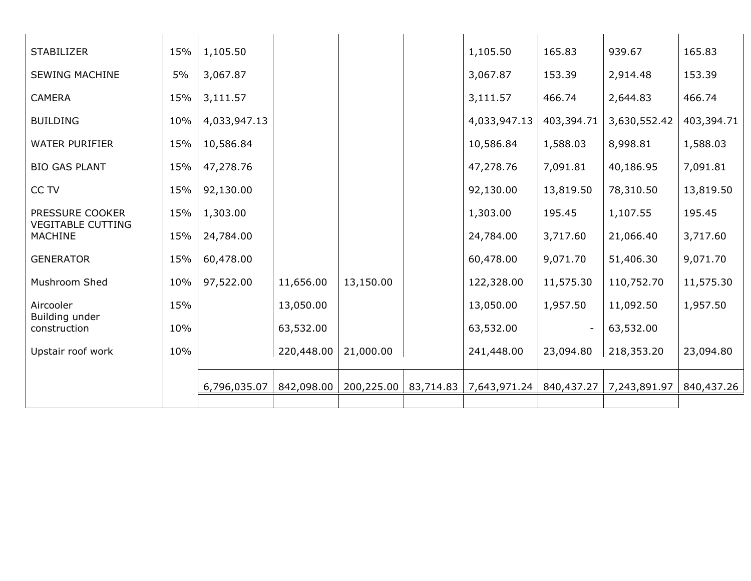| <b>STABILIZER</b>                           | 15% | 1,105.50     |            |                        | 1,105.50     | 165.83     | 939.67       | 165.83     |
|---------------------------------------------|-----|--------------|------------|------------------------|--------------|------------|--------------|------------|
| <b>SEWING MACHINE</b>                       | 5%  | 3,067.87     |            |                        | 3,067.87     | 153.39     | 2,914.48     | 153.39     |
| <b>CAMERA</b>                               | 15% | 3,111.57     |            |                        | 3,111.57     | 466.74     | 2,644.83     | 466.74     |
| <b>BUILDING</b>                             | 10% | 4,033,947.13 |            |                        | 4,033,947.13 | 403,394.71 | 3,630,552.42 | 403,394.71 |
| <b>WATER PURIFIER</b>                       | 15% | 10,586.84    |            |                        | 10,586.84    | 1,588.03   | 8,998.81     | 1,588.03   |
| <b>BIO GAS PLANT</b>                        | 15% | 47,278.76    |            |                        | 47,278.76    | 7,091.81   | 40,186.95    | 7,091.81   |
| CC TV                                       | 15% | 92,130.00    |            |                        | 92,130.00    | 13,819.50  | 78,310.50    | 13,819.50  |
| PRESSURE COOKER<br><b>VEGITABLE CUTTING</b> | 15% | 1,303.00     |            |                        | 1,303.00     | 195.45     | 1,107.55     | 195.45     |
| <b>MACHINE</b>                              | 15% | 24,784.00    |            |                        | 24,784.00    | 3,717.60   | 21,066.40    | 3,717.60   |
| <b>GENERATOR</b>                            | 15% | 60,478.00    |            |                        | 60,478.00    | 9,071.70   | 51,406.30    | 9,071.70   |
| Mushroom Shed                               | 10% | 97,522.00    | 11,656.00  | 13,150.00              | 122,328.00   | 11,575.30  | 110,752.70   | 11,575.30  |
| Aircooler<br>Building under                 | 15% |              | 13,050.00  |                        | 13,050.00    | 1,957.50   | 11,092.50    | 1,957.50   |
| construction                                | 10% |              | 63,532.00  |                        | 63,532.00    |            | 63,532.00    |            |
| Upstair roof work                           | 10% |              | 220,448.00 | 21,000.00              | 241,448.00   | 23,094.80  | 218,353.20   | 23,094.80  |
|                                             |     | 6,796,035.07 | 842,098.00 | 200,225.00   83,714.83 | 7,643,971.24 | 840,437.27 | 7,243,891.97 | 840,437.26 |
|                                             |     |              |            |                        |              |            |              |            |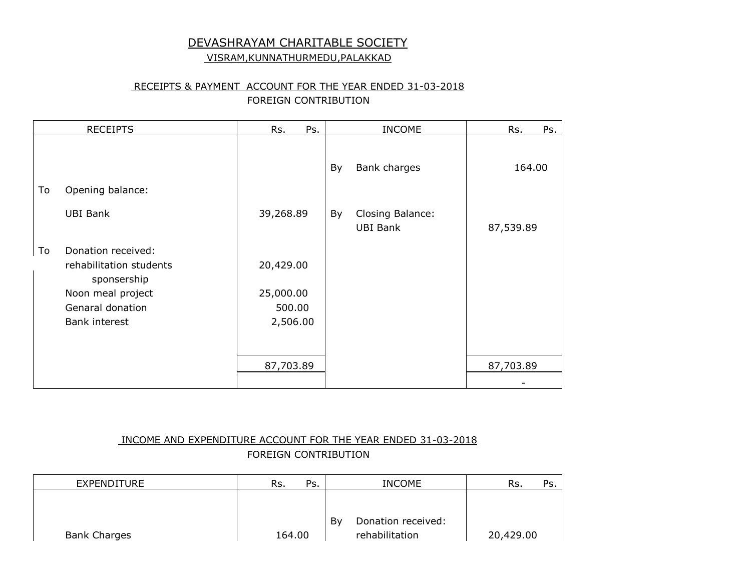# DEVASHRAYAM CHARITABLE SOCIETY

# VISRAM,KUNNATHURMEDU,PALAKKAD

# RECEIPTS & PAYMENT ACCOUNT FOR THE YEAR ENDED 31-03-2018 FOREIGN CONTRIBUTION

|    | <b>RECEIPTS</b>                                                                                                        | Ps.<br>Rs.                                   |    | <b>INCOME</b>                       | Rs.<br>Ps. |
|----|------------------------------------------------------------------------------------------------------------------------|----------------------------------------------|----|-------------------------------------|------------|
|    |                                                                                                                        |                                              | By | Bank charges                        | 164.00     |
| To | Opening balance:                                                                                                       |                                              |    |                                     |            |
|    | <b>UBI Bank</b>                                                                                                        | 39,268.89                                    | By | Closing Balance:<br><b>UBI Bank</b> | 87,539.89  |
| To | Donation received:<br>rehabilitation students<br>sponsership<br>Noon meal project<br>Genaral donation<br>Bank interest | 20,429.00<br>25,000.00<br>500.00<br>2,506.00 |    |                                     |            |
|    |                                                                                                                        | 87,703.89                                    |    |                                     | 87,703.89  |
|    |                                                                                                                        |                                              |    |                                     |            |

# INCOME AND EXPENDITURE ACCOUNT FOR THE YEAR ENDED 31-03-2018 FOREIGN CONTRIBUTION

| EXPENDITURE         | Rs.<br>Ps. | <b>INCOME</b>            | Ps.<br>Rs. |
|---------------------|------------|--------------------------|------------|
|                     |            |                          |            |
|                     |            |                          |            |
|                     |            | By<br>Donation received: |            |
| <b>Bank Charges</b> | 164.00     | rehabilitation           | 20,429.00  |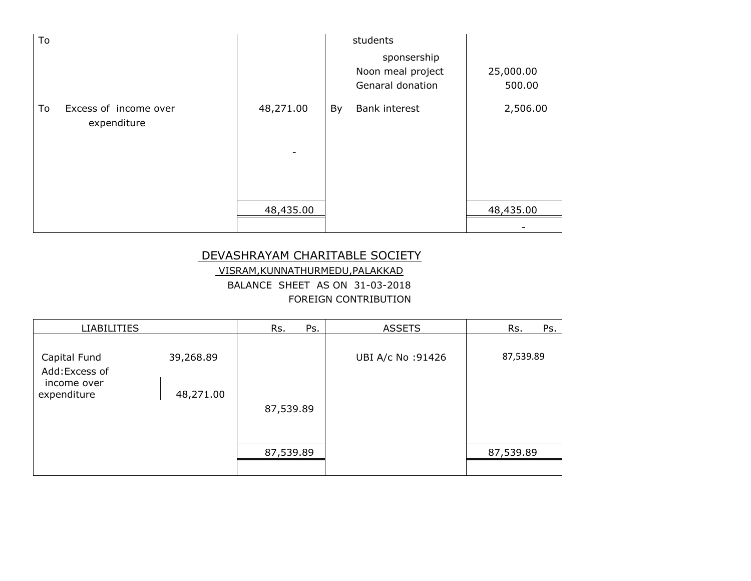| To |                                      |                                       |    | students                                             |                     |
|----|--------------------------------------|---------------------------------------|----|------------------------------------------------------|---------------------|
|    |                                      |                                       |    | sponsership<br>Noon meal project<br>Genaral donation | 25,000.00<br>500.00 |
| To | Excess of income over<br>expenditure | 48,271.00<br>$\overline{\phantom{a}}$ | By | Bank interest                                        | 2,506.00            |
|    |                                      | 48,435.00                             |    |                                                      | 48,435.00           |
|    |                                      |                                       |    |                                                      |                     |

# DEVASHRAYAM CHARITABLE SOCIETY

VISRAM,KUNNATHURMEDU,PALAKKAD BALANCE SHEET AS ON 31-03-2018 FOREIGN CONTRIBUTION

| <b>LIABILITIES</b>                                           |                        | Rs.<br>Ps. | <b>ASSETS</b>     | Rs.<br>Ps. |
|--------------------------------------------------------------|------------------------|------------|-------------------|------------|
| Capital Fund<br>Add: Excess of<br>income over<br>expenditure | 39,268.89<br>48,271.00 | 87,539.89  | UBI A/c No: 91426 | 87,539.89  |
|                                                              |                        | 87,539.89  |                   | 87,539.89  |
|                                                              |                        |            |                   |            |